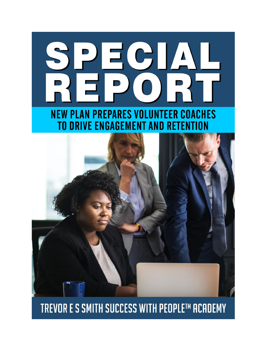# PECIAL **NEW PLAN PREPARES VOLUNTEER COACHES TO DRIVE ENGAGEMENT AND RETENTION**



### TREVOR E S SMITH SUCCESS WITH PEOPLE™ ACADEMY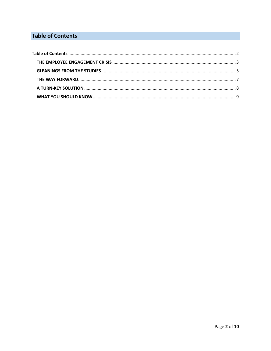#### <span id="page-1-0"></span>**Table of Contents**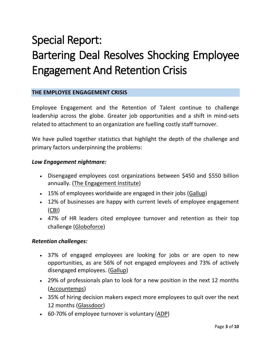## Special Report: Bartering Deal Resolves Shocking Employee Engagement And Retention Crisis

#### <span id="page-2-0"></span>**THE EMPLOYEE ENGAGEMENT CRISIS**

Employee Engagement and the Retention of Talent continue to challenge leadership across the globe. Greater job opportunities and a shift in mind-sets related to attachment to an organization are fuelling costly staff turnover.

We have pulled together statistics that highlight the depth of the challenge and primary factors underpinning the problems:

#### *Low Engagement nightmare:*

- Disengaged employees cost organizations between \$450 and \$550 billion annually. [\(The Engagement Institute\)](https://www.conference-board.org/dna-engagement2017/)
- 15% of employees worldwide are engaged in their jobs [\(Gallup\)](http://news.gallup.com/reports/220313/state-global-workplace-2017.aspx?g_source=link_newsv9&g_campaign=item_225752&g_medium=copy)
- 12% of businesses are happy with current levels of employee engagement [\(CBI\)](http://www.cbi.org.uk/news/engaging-with-staff-on-workplace-pensions-fundamental-to-successful-retirements/)
- 47% of HR leaders cited employee turnover and retention as their top challenge [\(Globoforce\)](http://www.globoforce.com/news/press-releases/globoforce-shrm-human/)

#### *Retention challenges:*

- 37% of engaged employees are looking for jobs or are open to new opportunities, as are 56% of not engaged employees and 73% of actively disengaged employees. [\(Gallup\)](http://www.gallup.com/businessjournal/204248/star-employees-slipping-away.aspx)
- 29% of professionals plan to look for a new position in the next 12 months [\(Accountemps\)](http://rh-us.mediaroom.com/2018-01-18-29-Percent-Of-Workers-Plan-To-Look-For-New-Job-In-2018)
- 35% of hiring decision makers expect more employees to quit over the next 12 months [\(Glassdoor\)](https://www.prnewswire.com/news-releases/glassdoor-survey-finds-more-employees-expected-to-quit-in-upcoming-year-with-salary-cited-as-top-reason-300580749.html)
- 60-70% of employee turnover is voluntary [\(ADP\)](http://mediacenter.adp.com/releasedetail.cfm?releaseid=1057969)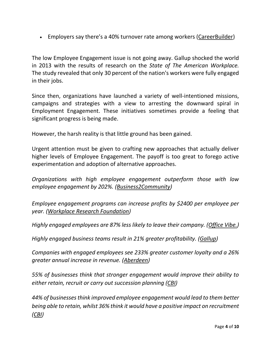• Employers say there's a 40% turnover rate among workers ([CareerBuilder\)](https://www.prnewswire.com/news-releases/44-percent-of-employers-plan-to-hire-in-the-new-year-according-to-careerbuilders-annual-forecast-300578290.html)

The low Employee Engagement issue is not going away. Gallup shocked the world in 2013 with the results of research on the *State of The American Workplace.* The study revealed that only 30 percent of the nation's workers were fully engaged in their jobs.

Since then, organizations have launched a variety of well-intentioned missions, campaigns and strategies with a view to arresting the downward spiral in Employment Engagement. These initiatives sometimes provide a feeling that significant progress is being made.

However, the harsh reality is that little ground has been gained.

Urgent attention must be given to crafting new approaches that actually deliver higher levels of Employee Engagement. The payoff is too great to forego active experimentation and adoption of alternative approaches.

*Organizations with high employee engagement outperform those with low employee engagement by 202%. [\(Business2Community\)](http://www.business2community.com/strategy/roi-employee-engagement-7-stats-need-know-01573138#zYmqvmb8Hu5gSbRU.99)*

*Employee engagement programs can increase profits by \$2400 per employee per year. [\(Workplace Research Foundation\)](http://workplaceresearchfoundation.org/)*

*Highly engaged employees are 87% less likely to leave their company. [\(Office Vibe.\)](https://www.officevibe.com/blog/disengaged-employees-infographic)*

*Highly engaged business teams result in 21% greater profitability. [\(Gallup\)](http://www.gallup.com/reports/199961/state-american-workplace-report-2017.aspx)*

*Companies with engaged employees see 233% greater customer loyalty and a 26% greater annual increase in revenue. [\(Aberdeen\)](http://www.aberdeen.com/research/10985/10985-RR-customer-employee-engagement.aspx/content.aspx)*

*55% of businesses think that stronger engagement would improve their ability to either retain, recruit or carry out succession planning [\(CBI\)](http://www.cbi.org.uk/news/engaging-with-staff-on-workplace-pensions-fundamental-to-successful-retirements/)*

*44% of businesses think improved employee engagement would lead to them better being able to retain, whilst 36% think it would have a positive impact on recruitment [\(CBI\)](http://www.cbi.org.uk/news/engaging-with-staff-on-workplace-pensions-fundamental-to-successful-retirements/)*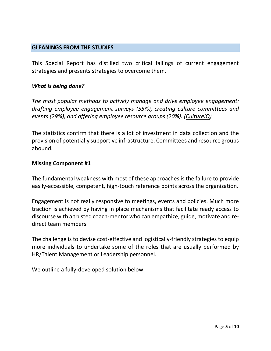#### <span id="page-4-0"></span>**GLEANINGS FROM THE STUDIES**

This Special Report has distilled two critical failings of current engagement strategies and presents strategies to overcome them.

#### *What is being done?*

*The most popular methods to actively manage and drive employee engagement: drafting employee engagement surveys (55%), creating culture committees and events (29%), and offering employee resource groups (20%). [\(CultureIQ\)](https://go.cultureiq.com/RL-2017-TCC-Report_Download_LP.html)*

The statistics confirm that there is a lot of investment in data collection and the provision of potentially supportive infrastructure. Committees and resource groups abound.

#### **Missing Component #1**

The fundamental weakness with most of these approaches is the failure to provide easily-accessible, competent, high-touch reference points across the organization.

Engagement is not really responsive to meetings, events and policies. Much more traction is achieved by having in place mechanisms that facilitate ready access to discourse with a trusted coach-mentor who can empathize, guide, motivate and redirect team members.

The challenge is to devise cost-effective and logistically-friendly strategies to equip more individuals to undertake some of the roles that are usually performed by HR/Talent Management or Leadership personnel.

We outline a fully-developed solution below.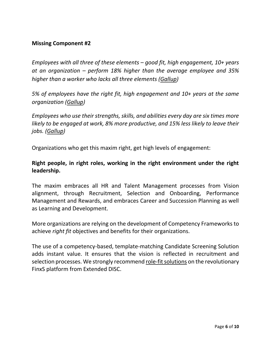#### **Missing Component #2**

*Employees with all three of these elements – good fit, high engagement, 10+ years at an organization – perform 18% higher than the average employee and 35% higher than a worker who lacks all three elements [\(Gallup\)](http://news.gallup.com/opinion/gallup/226025/talent-walks-why-best-employees-leaving.aspx?utm_source=alert&utm_medium=email&utm_content=morelink&utm_campaign=syndication)*

*5% of employees have the right fit, high engagement and 10+ years at the same organization [\(Gallup\)](http://news.gallup.com/opinion/gallup/226025/talent-walks-why-best-employees-leaving.aspx?utm_source=alert&utm_medium=email&utm_content=morelink&utm_campaign=syndication)*

*Employees who use their strengths, skills, and abilities every day are six times more likely to be engaged at work, 8% more productive, and 15% less likely to leave their jobs. [\(Gallup\)](http://www.gallup.com/businessjournal/186044/employees-strengths-outperform-don.aspx)*

Organizations who get this maxim right, get high levels of engagement:

#### **Right people, in right roles, working in the right environment under the right leadership.**

The maxim embraces all HR and Talent Management processes from Vision alignment, through Recruitment, Selection and Onboarding, Performance Management and Rewards, and embraces Career and Succession Planning as well as Learning and Development.

More organizations are relying on the development of Competency Frameworks to achieve *right fit* objectives and benefits for their organizations.

The use of a competency-based, template-matching Candidate Screening Solution adds instant value. It ensures that the vision is reflected in recruitment and selection processes. We strongly recommend [role-fit solutions](https://finxs.successwithpeople.org/assessments) on the revolutionary FinxS platform from Extended DISC.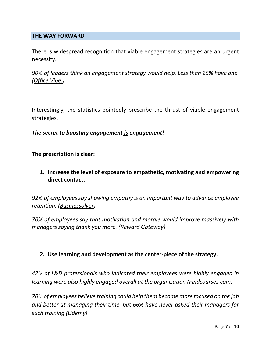#### <span id="page-6-0"></span>**THE WAY FORWARD**

There is widespread recognition that viable engagement strategies are an urgent necessity.

*90% of leaders think an engagement strategy would help. Less than 25% have one. [\(Office Vibe.\)](https://www.officevibe.com/blog/disengaged-employees-infographic)*

Interestingly, the statistics pointedly prescribe the thrust of viable engagement strategies.

#### *The secret to boosting engagement is engagement!*

**The prescription is clear:**

**1. Increase the level of exposure to empathetic, motivating and empowering direct contact.**

*92% of employees say showing empathy is an important way to advance employee retention. [\(Businessolver\)](https://www.businessolver.com/Empathy)*

*70% of employees say that motivation and morale would improve massively with managers saying thank you more. [\(Reward Gateway\)](https://www.benefitnews.com/news/workers-willing-to-leave-a-job-if-not-praised-enough)*

#### **2. Use learning and development as the center-piece of the strategy.**

*42% of L&D professionals who indicated their employees were highly engaged in learning were also highly engaged overall at the organization [\(Findcourses.com\)](https://www.findcourses.com/prof-dev/l-d-articles/us-ld-report-2018-13461)*

*70% of employees believe training could help them become more focused on the job and better at managing their time, but 66% have never asked their managers for such training (Udemy)*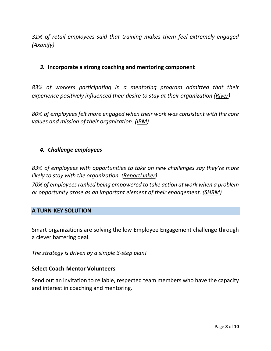*31% of retail employees said that training makes them feel extremely engaged [\(Axonify\)](https://globenewswire.com/news-release/2018/02/20/1361955/0/en/Axonify-Finds-No-Improvement-in-Corporate-Training-in-Second-Annual-State-of-Workplace-Training-Study.html)*

#### *3.* **Incorporate a strong coaching and mentoring component**

*83% of workers participating in a mentoring program admitted that their experience positively influenced their desire to stay at their organization [\(River\)](https://www.riversoftware.com/resources/infosheets/River-ROI.pdf)*

*80% of employees felt more engaged when their work was consistent with the core values and mission of their organization. [\(IBM\)](https://www-01.ibm.com/common/ssi/cgi-bin/ssialias?subtype=WH&infotype=SA&htmlfid=LOW14335USEN)*

#### *4. Challenge employees*

*83% of employees with opportunities to take on new challenges say they're more likely to stay with the organization. [\(ReportLinker\)](http://www.reportlinker.com/insight/office-perks.html)*

*70% of employees ranked being empowered to take action at work when a problem or opportunity arose as an important element of their engagement. [\(SHRM\)](https://www.shrm.org/hrdisciplines/employeerelations/articles/pages/2016-job-satisfaction-and-engagement-survey.aspx)*

#### <span id="page-7-0"></span>**A TURN-KEY SOLUTION**

Smart organizations are solving the low Employee Engagement challenge through a clever bartering deal.

*The strategy is driven by a simple 3-step plan!*

#### **Select Coach-Mentor Volunteers**

Send out an invitation to reliable, respected team members who have the capacity and interest in coaching and mentoring.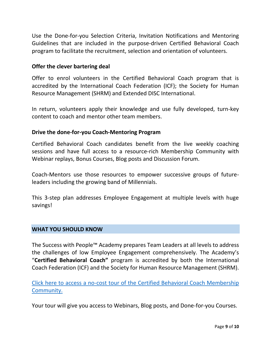Use the Done-for-you Selection Criteria, Invitation Notifications and Mentoring Guidelines that are included in the purpose-driven Certified Behavioral Coach program to facilitate the recruitment, selection and orientation of volunteers.

#### **Offer the clever bartering deal**

Offer to enrol volunteers in the Certified Behavioral Coach program that is accredited by the International Coach Federation (ICF); the Society for Human Resource Management (SHRM) and Extended DISC International.

In return, volunteers apply their knowledge and use fully developed, turn-key content to coach and mentor other team members.

#### **Drive the done-for-you Coach-Mentoring Program**

Certified Behavioral Coach candidates benefit from the live weekly coaching sessions and have full access to a resource-rich Membership Community with Webinar replays, Bonus Courses, Blog posts and Discussion Forum.

Coach-Mentors use those resources to empower successive groups of futureleaders including the growing band of Millennials.

This 3-step plan addresses Employee Engagement at multiple levels with huge savings!

#### <span id="page-8-0"></span>**WHAT YOU SHOULD KNOW**

The Success with People™ Academy prepares Team Leaders at all levels to address the challenges of low Employee Engagement comprehensively. The Academy's "**Certified Behavioral Coach"** program is accredited by both the International Coach Federation (ICF) and the Society for Human Resource Management (SHRM).

Click here to access a no-cost [tour of the Certified Behavioral Coach Membership](https://successwithpeopleacademy.simplero.com/purchase/53559-Certified-Behavioral-Coach/price/202300-certified)  [Community.](https://successwithpeopleacademy.simplero.com/purchase/53559-Certified-Behavioral-Coach/price/202300-certified)

Your tour will give you access to Webinars, Blog posts, and Done-for-you Courses.